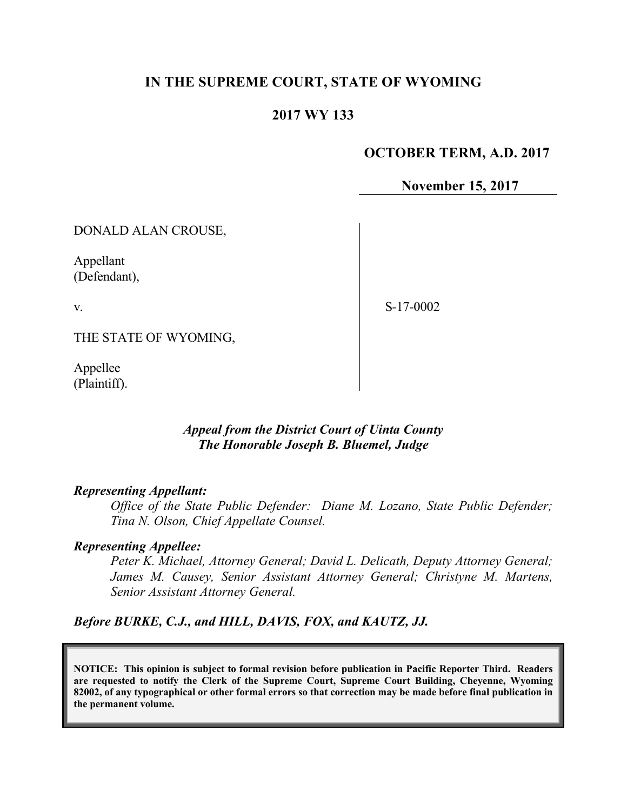## **IN THE SUPREME COURT, STATE OF WYOMING**

#### **2017 WY 133**

#### **OCTOBER TERM, A.D. 2017**

**November 15, 2017**

DONALD ALAN CROUSE,

Appellant (Defendant),

v.

S-17-0002

THE STATE OF WYOMING,

Appellee (Plaintiff).

## *Appeal from the District Court of Uinta County The Honorable Joseph B. Bluemel, Judge*

#### *Representing Appellant:*

*Office of the State Public Defender: Diane M. Lozano, State Public Defender; Tina N. Olson, Chief Appellate Counsel.*

#### *Representing Appellee:*

*Peter K. Michael, Attorney General; David L. Delicath, Deputy Attorney General; James M. Causey, Senior Assistant Attorney General; Christyne M. Martens, Senior Assistant Attorney General.*

*Before BURKE, C.J., and HILL, DAVIS, FOX, and KAUTZ, JJ.*

**NOTICE: This opinion is subject to formal revision before publication in Pacific Reporter Third. Readers are requested to notify the Clerk of the Supreme Court, Supreme Court Building, Cheyenne, Wyoming 82002, of any typographical or other formal errors so that correction may be made before final publication in the permanent volume.**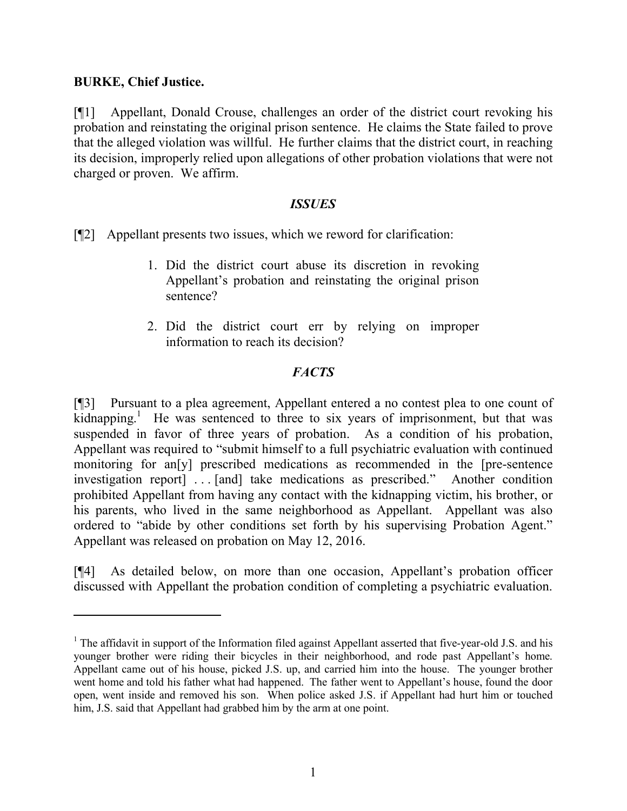## **BURKE, Chief Justice.**

 $\overline{a}$ 

[¶1] Appellant, Donald Crouse, challenges an order of the district court revoking his probation and reinstating the original prison sentence. He claims the State failed to prove that the alleged violation was willful. He further claims that the district court, in reaching its decision, improperly relied upon allegations of other probation violations that were not charged or proven. We affirm.

### *ISSUES*

[¶2] Appellant presents two issues, which we reword for clarification:

- 1. Did the district court abuse its discretion in revoking Appellant's probation and reinstating the original prison sentence?
- 2. Did the district court err by relying on improper information to reach its decision?

# *FACTS*

[¶3] Pursuant to a plea agreement, Appellant entered a no contest plea to one count of  $k$ idnapping.<sup>1</sup> He was sentenced to three to six years of imprisonment, but that was suspended in favor of three years of probation. As a condition of his probation, Appellant was required to "submit himself to a full psychiatric evaluation with continued monitoring for an[y] prescribed medications as recommended in the [pre-sentence investigation report] . . . [and] take medications as prescribed." Another condition prohibited Appellant from having any contact with the kidnapping victim, his brother, or his parents, who lived in the same neighborhood as Appellant. Appellant was also ordered to "abide by other conditions set forth by his supervising Probation Agent." Appellant was released on probation on May 12, 2016.

[¶4] As detailed below, on more than one occasion, Appellant's probation officer discussed with Appellant the probation condition of completing a psychiatric evaluation.

<sup>&</sup>lt;sup>1</sup> The affidavit in support of the Information filed against Appellant asserted that five-year-old J.S. and his younger brother were riding their bicycles in their neighborhood, and rode past Appellant's home. Appellant came out of his house, picked J.S. up, and carried him into the house. The younger brother went home and told his father what had happened. The father went to Appellant's house, found the door open, went inside and removed his son. When police asked J.S. if Appellant had hurt him or touched him, J.S. said that Appellant had grabbed him by the arm at one point.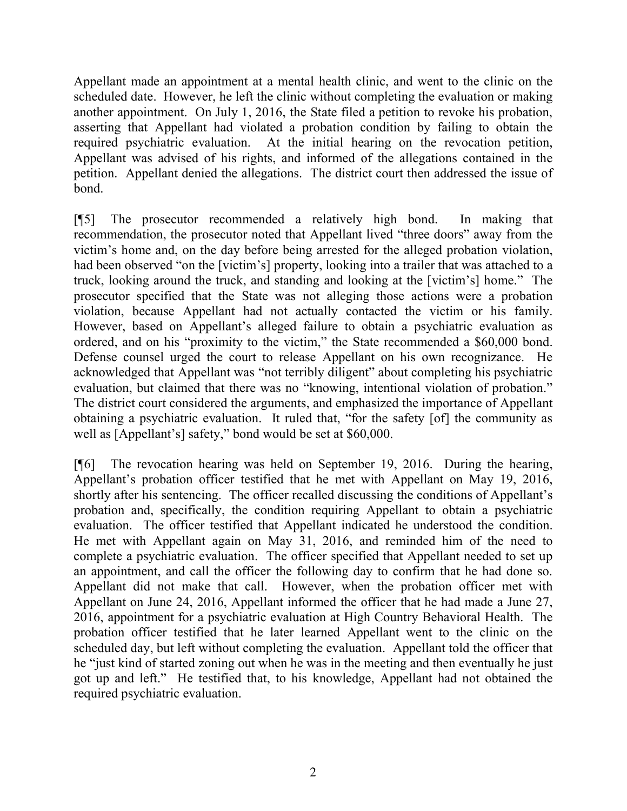Appellant made an appointment at a mental health clinic, and went to the clinic on the scheduled date. However, he left the clinic without completing the evaluation or making another appointment. On July 1, 2016, the State filed a petition to revoke his probation, asserting that Appellant had violated a probation condition by failing to obtain the required psychiatric evaluation. At the initial hearing on the revocation petition, Appellant was advised of his rights, and informed of the allegations contained in the petition. Appellant denied the allegations. The district court then addressed the issue of bond.

[¶5] The prosecutor recommended a relatively high bond. In making that recommendation, the prosecutor noted that Appellant lived "three doors" away from the victim's home and, on the day before being arrested for the alleged probation violation, had been observed "on the [victim's] property, looking into a trailer that was attached to a truck, looking around the truck, and standing and looking at the [victim's] home." The prosecutor specified that the State was not alleging those actions were a probation violation, because Appellant had not actually contacted the victim or his family. However, based on Appellant's alleged failure to obtain a psychiatric evaluation as ordered, and on his "proximity to the victim," the State recommended a \$60,000 bond. Defense counsel urged the court to release Appellant on his own recognizance. He acknowledged that Appellant was "not terribly diligent" about completing his psychiatric evaluation, but claimed that there was no "knowing, intentional violation of probation." The district court considered the arguments, and emphasized the importance of Appellant obtaining a psychiatric evaluation. It ruled that, "for the safety [of] the community as well as [Appellant's] safety," bond would be set at \$60,000.

[¶6] The revocation hearing was held on September 19, 2016. During the hearing, Appellant's probation officer testified that he met with Appellant on May 19, 2016, shortly after his sentencing. The officer recalled discussing the conditions of Appellant's probation and, specifically, the condition requiring Appellant to obtain a psychiatric evaluation. The officer testified that Appellant indicated he understood the condition. He met with Appellant again on May 31, 2016, and reminded him of the need to complete a psychiatric evaluation. The officer specified that Appellant needed to set up an appointment, and call the officer the following day to confirm that he had done so. Appellant did not make that call. However, when the probation officer met with Appellant on June 24, 2016, Appellant informed the officer that he had made a June 27, 2016, appointment for a psychiatric evaluation at High Country Behavioral Health. The probation officer testified that he later learned Appellant went to the clinic on the scheduled day, but left without completing the evaluation. Appellant told the officer that he "just kind of started zoning out when he was in the meeting and then eventually he just got up and left." He testified that, to his knowledge, Appellant had not obtained the required psychiatric evaluation.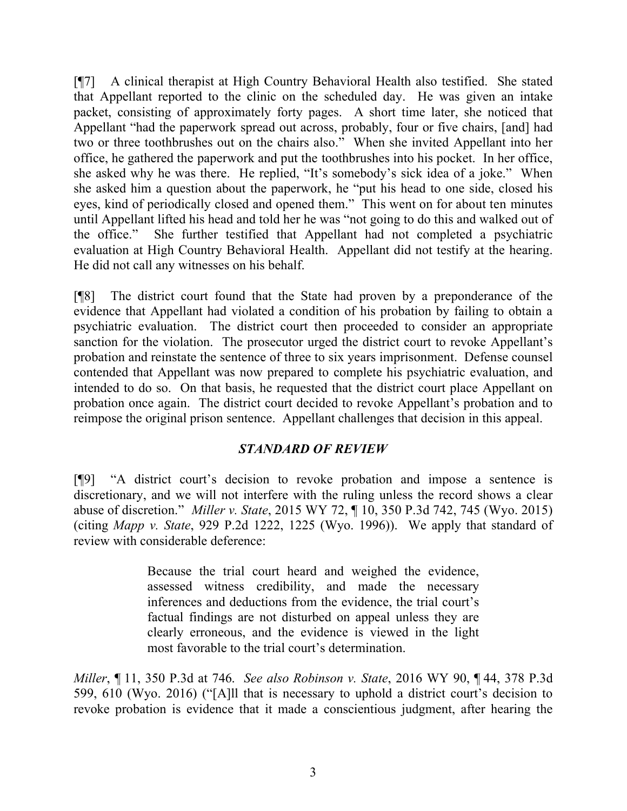[¶7] A clinical therapist at High Country Behavioral Health also testified. She stated that Appellant reported to the clinic on the scheduled day. He was given an intake packet, consisting of approximately forty pages. A short time later, she noticed that Appellant "had the paperwork spread out across, probably, four or five chairs, [and] had two or three toothbrushes out on the chairs also." When she invited Appellant into her office, he gathered the paperwork and put the toothbrushes into his pocket. In her office, she asked why he was there. He replied, "It's somebody's sick idea of a joke." When she asked him a question about the paperwork, he "put his head to one side, closed his eyes, kind of periodically closed and opened them." This went on for about ten minutes until Appellant lifted his head and told her he was "not going to do this and walked out of the office." She further testified that Appellant had not completed a psychiatric evaluation at High Country Behavioral Health. Appellant did not testify at the hearing. He did not call any witnesses on his behalf.

[¶8] The district court found that the State had proven by a preponderance of the evidence that Appellant had violated a condition of his probation by failing to obtain a psychiatric evaluation. The district court then proceeded to consider an appropriate sanction for the violation. The prosecutor urged the district court to revoke Appellant's probation and reinstate the sentence of three to six years imprisonment. Defense counsel contended that Appellant was now prepared to complete his psychiatric evaluation, and intended to do so. On that basis, he requested that the district court place Appellant on probation once again. The district court decided to revoke Appellant's probation and to reimpose the original prison sentence. Appellant challenges that decision in this appeal.

## *STANDARD OF REVIEW*

[¶9] "A district court's decision to revoke probation and impose a sentence is discretionary, and we will not interfere with the ruling unless the record shows a clear abuse of discretion." *Miller v. State*, 2015 WY 72, ¶ 10, 350 P.3d 742, 745 (Wyo. 2015) (citing *Mapp v. State*, 929 P.2d 1222, 1225 (Wyo. 1996)). We apply that standard of review with considerable deference:

> Because the trial court heard and weighed the evidence, assessed witness credibility, and made the necessary inferences and deductions from the evidence, the trial court's factual findings are not disturbed on appeal unless they are clearly erroneous, and the evidence is viewed in the light most favorable to the trial court's determination.

*Miller*, ¶ 11, 350 P.3d at 746. *See also Robinson v. State*, 2016 WY 90, ¶ 44, 378 P.3d 599, 610 (Wyo. 2016) ("[A]ll that is necessary to uphold a district court's decision to revoke probation is evidence that it made a conscientious judgment, after hearing the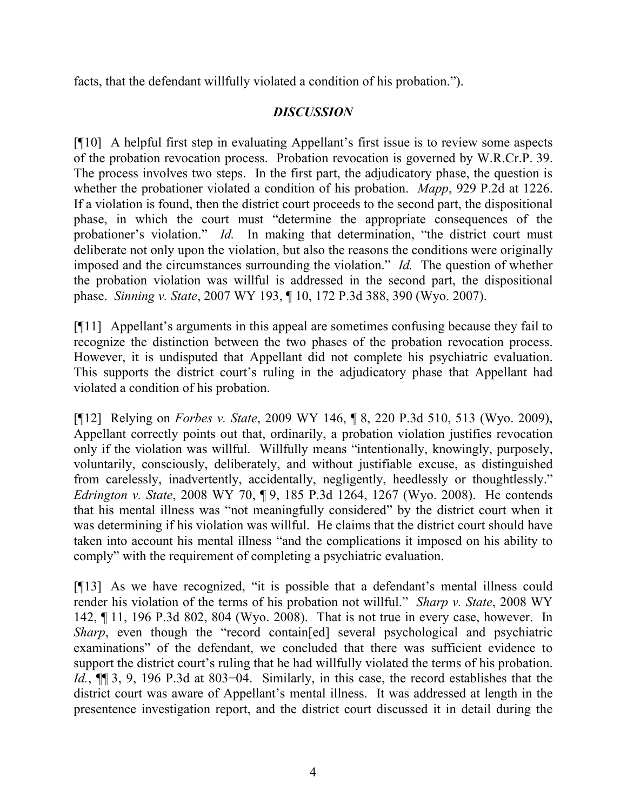facts, that the defendant willfully violated a condition of his probation.").

# *DISCUSSION*

[¶10] A helpful first step in evaluating Appellant's first issue is to review some aspects of the probation revocation process. Probation revocation is governed by W.R.Cr.P. 39. The process involves two steps. In the first part, the adjudicatory phase, the question is whether the probationer violated a condition of his probation. *Mapp*, 929 P.2d at 1226. If a violation is found, then the district court proceeds to the second part, the dispositional phase, in which the court must "determine the appropriate consequences of the probationer's violation." *Id.* In making that determination, "the district court must deliberate not only upon the violation, but also the reasons the conditions were originally imposed and the circumstances surrounding the violation." *Id.* The question of whether the probation violation was willful is addressed in the second part, the dispositional phase. *Sinning v. State*, 2007 WY 193, ¶ 10, 172 P.3d 388, 390 (Wyo. 2007).

[¶11] Appellant's arguments in this appeal are sometimes confusing because they fail to recognize the distinction between the two phases of the probation revocation process. However, it is undisputed that Appellant did not complete his psychiatric evaluation. This supports the district court's ruling in the adjudicatory phase that Appellant had violated a condition of his probation.

[¶12] Relying on *Forbes v. State*, 2009 WY 146, ¶ 8, 220 P.3d 510, 513 (Wyo. 2009), Appellant correctly points out that, ordinarily, a probation violation justifies revocation only if the violation was willful. Willfully means "intentionally, knowingly, purposely, voluntarily, consciously, deliberately, and without justifiable excuse, as distinguished from carelessly, inadvertently, accidentally, negligently, heedlessly or thoughtlessly." *Edrington v. State*, 2008 WY 70, ¶ 9, 185 P.3d 1264, 1267 (Wyo. 2008). He contends that his mental illness was "not meaningfully considered" by the district court when it was determining if his violation was willful. He claims that the district court should have taken into account his mental illness "and the complications it imposed on his ability to comply" with the requirement of completing a psychiatric evaluation.

[¶13] As we have recognized, "it is possible that a defendant's mental illness could render his violation of the terms of his probation not willful." *Sharp v. State*, 2008 WY 142, ¶ 11, 196 P.3d 802, 804 (Wyo. 2008). That is not true in every case, however. In *Sharp*, even though the "record contain[ed] several psychological and psychiatric examinations" of the defendant, we concluded that there was sufficient evidence to support the district court's ruling that he had willfully violated the terms of his probation. *Id.*, ¶¶ 3, 9, 196 P.3d at 803–04. Similarly, in this case, the record establishes that the district court was aware of Appellant's mental illness. It was addressed at length in the presentence investigation report, and the district court discussed it in detail during the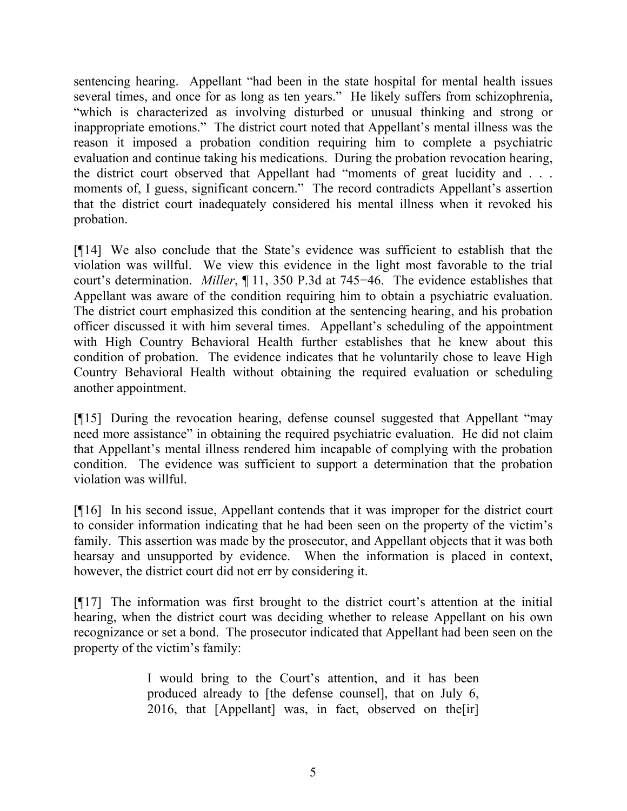sentencing hearing. Appellant "had been in the state hospital for mental health issues several times, and once for as long as ten years." He likely suffers from schizophrenia, "which is characterized as involving disturbed or unusual thinking and strong or inappropriate emotions." The district court noted that Appellant's mental illness was the reason it imposed a probation condition requiring him to complete a psychiatric evaluation and continue taking his medications. During the probation revocation hearing, the district court observed that Appellant had "moments of great lucidity and . . . moments of, I guess, significant concern." The record contradicts Appellant's assertion that the district court inadequately considered his mental illness when it revoked his probation.

[¶14] We also conclude that the State's evidence was sufficient to establish that the violation was willful. We view this evidence in the light most favorable to the trial court's determination. *Miller*, ¶ 11, 350 P.3d at 745−46. The evidence establishes that Appellant was aware of the condition requiring him to obtain a psychiatric evaluation. The district court emphasized this condition at the sentencing hearing, and his probation officer discussed it with him several times. Appellant's scheduling of the appointment with High Country Behavioral Health further establishes that he knew about this condition of probation. The evidence indicates that he voluntarily chose to leave High Country Behavioral Health without obtaining the required evaluation or scheduling another appointment.

[¶15] During the revocation hearing, defense counsel suggested that Appellant "may need more assistance" in obtaining the required psychiatric evaluation. He did not claim that Appellant's mental illness rendered him incapable of complying with the probation condition. The evidence was sufficient to support a determination that the probation violation was willful.

[¶16] In his second issue, Appellant contends that it was improper for the district court to consider information indicating that he had been seen on the property of the victim's family. This assertion was made by the prosecutor, and Appellant objects that it was both hearsay and unsupported by evidence. When the information is placed in context, however, the district court did not err by considering it.

[¶17] The information was first brought to the district court's attention at the initial hearing, when the district court was deciding whether to release Appellant on his own recognizance or set a bond. The prosecutor indicated that Appellant had been seen on the property of the victim's family:

> I would bring to the Court's attention, and it has been produced already to [the defense counsel], that on July 6, 2016, that [Appellant] was, in fact, observed on the[ir]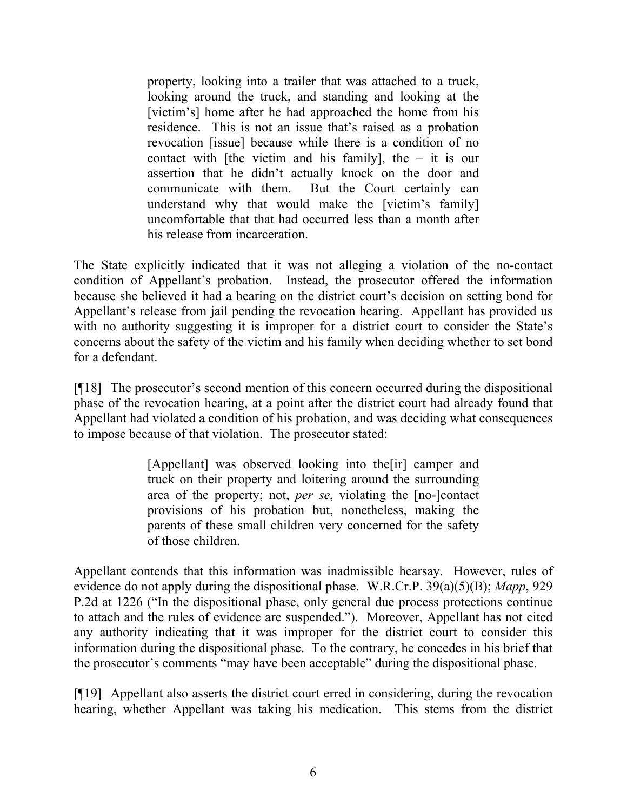property, looking into a trailer that was attached to a truck, looking around the truck, and standing and looking at the [victim's] home after he had approached the home from his residence. This is not an issue that's raised as a probation revocation [issue] because while there is a condition of no contact with [the victim and his family], the  $-$  it is our assertion that he didn't actually knock on the door and communicate with them. But the Court certainly can understand why that would make the [victim's family] uncomfortable that that had occurred less than a month after his release from incarceration.

The State explicitly indicated that it was not alleging a violation of the no-contact condition of Appellant's probation. Instead, the prosecutor offered the information because she believed it had a bearing on the district court's decision on setting bond for Appellant's release from jail pending the revocation hearing. Appellant has provided us with no authority suggesting it is improper for a district court to consider the State's concerns about the safety of the victim and his family when deciding whether to set bond for a defendant.

[¶18] The prosecutor's second mention of this concern occurred during the dispositional phase of the revocation hearing, at a point after the district court had already found that Appellant had violated a condition of his probation, and was deciding what consequences to impose because of that violation. The prosecutor stated:

> [Appellant] was observed looking into the[ir] camper and truck on their property and loitering around the surrounding area of the property; not, *per se*, violating the [no-]contact provisions of his probation but, nonetheless, making the parents of these small children very concerned for the safety of those children.

Appellant contends that this information was inadmissible hearsay. However, rules of evidence do not apply during the dispositional phase. W.R.Cr.P. 39(a)(5)(B); *Mapp*, 929 P.2d at 1226 ("In the dispositional phase, only general due process protections continue to attach and the rules of evidence are suspended."). Moreover, Appellant has not cited any authority indicating that it was improper for the district court to consider this information during the dispositional phase. To the contrary, he concedes in his brief that the prosecutor's comments "may have been acceptable" during the dispositional phase.

[¶19] Appellant also asserts the district court erred in considering, during the revocation hearing, whether Appellant was taking his medication. This stems from the district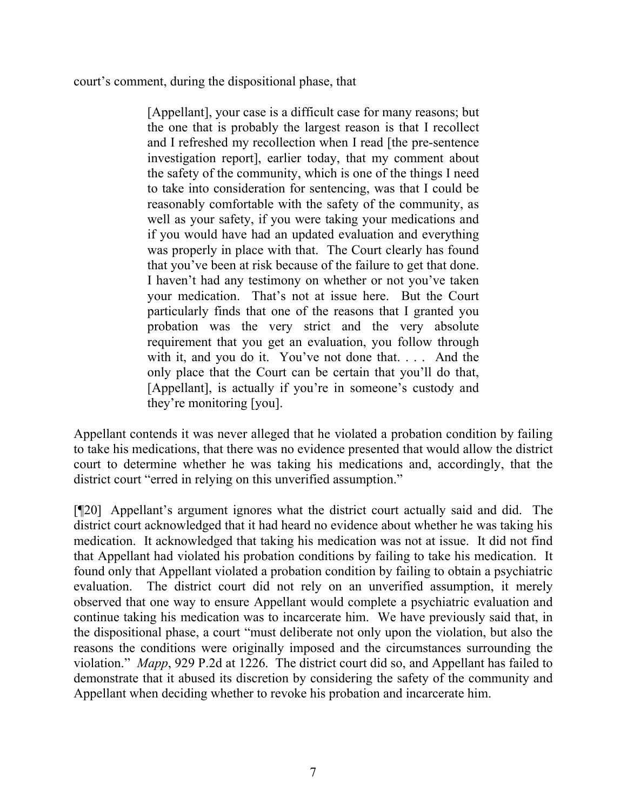court's comment, during the dispositional phase, that

[Appellant], your case is a difficult case for many reasons; but the one that is probably the largest reason is that I recollect and I refreshed my recollection when I read [the pre-sentence investigation report], earlier today, that my comment about the safety of the community, which is one of the things I need to take into consideration for sentencing, was that I could be reasonably comfortable with the safety of the community, as well as your safety, if you were taking your medications and if you would have had an updated evaluation and everything was properly in place with that. The Court clearly has found that you've been at risk because of the failure to get that done. I haven't had any testimony on whether or not you've taken your medication. That's not at issue here. But the Court particularly finds that one of the reasons that I granted you probation was the very strict and the very absolute requirement that you get an evaluation, you follow through with it, and you do it. You've not done that. . . . And the only place that the Court can be certain that you'll do that, [Appellant], is actually if you're in someone's custody and they're monitoring [you].

Appellant contends it was never alleged that he violated a probation condition by failing to take his medications, that there was no evidence presented that would allow the district court to determine whether he was taking his medications and, accordingly, that the district court "erred in relying on this unverified assumption."

[¶20] Appellant's argument ignores what the district court actually said and did. The district court acknowledged that it had heard no evidence about whether he was taking his medication. It acknowledged that taking his medication was not at issue. It did not find that Appellant had violated his probation conditions by failing to take his medication. It found only that Appellant violated a probation condition by failing to obtain a psychiatric evaluation. The district court did not rely on an unverified assumption, it merely observed that one way to ensure Appellant would complete a psychiatric evaluation and continue taking his medication was to incarcerate him. We have previously said that, in the dispositional phase, a court "must deliberate not only upon the violation, but also the reasons the conditions were originally imposed and the circumstances surrounding the violation." *Mapp*, 929 P.2d at 1226. The district court did so, and Appellant has failed to demonstrate that it abused its discretion by considering the safety of the community and Appellant when deciding whether to revoke his probation and incarcerate him.